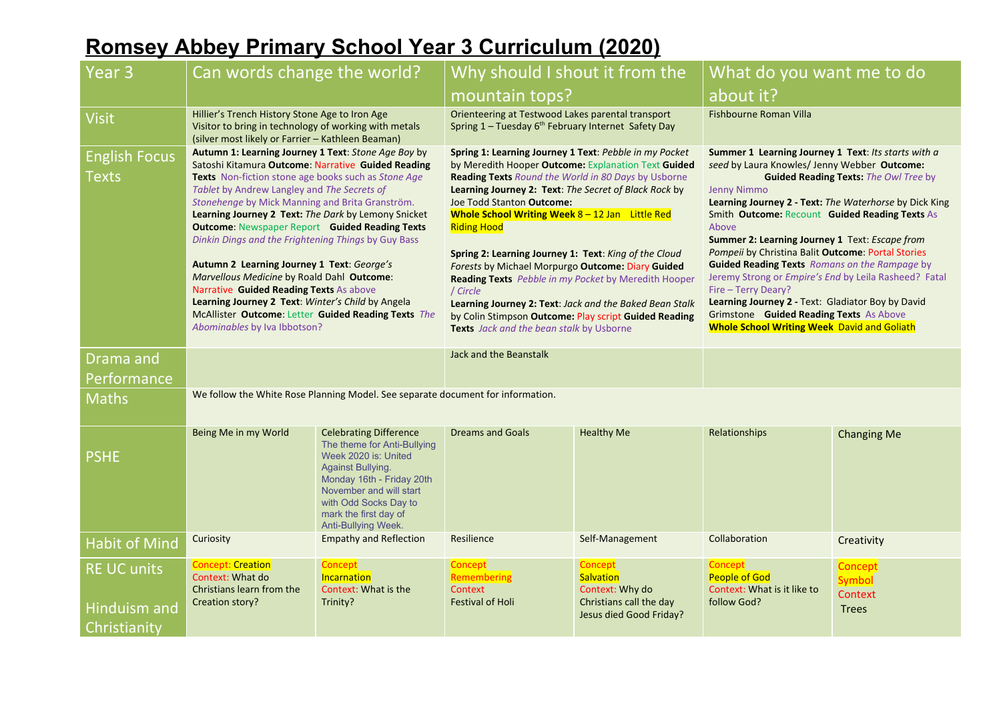## **Romsey Abbey Primary School Year 3 Curriculum (2020)**

| Year 3                                                    | Can words change the world?                                                                                                                                                                                                                                                                                                                                                                                                                                                                                                                                                                                                                                                                                                  |                                                                                                                                                                                                                                                   | Why should I shout it from the                                                                                                                                                                                                                                                                                                                                                                                                                                                                                                                                                                                                                                                          |                                                                                               | What do you want me to do                                                                                                                                                                                                                                                                                                                                                                                                                                                                                                                                                                                                                                                                            |                                                     |
|-----------------------------------------------------------|------------------------------------------------------------------------------------------------------------------------------------------------------------------------------------------------------------------------------------------------------------------------------------------------------------------------------------------------------------------------------------------------------------------------------------------------------------------------------------------------------------------------------------------------------------------------------------------------------------------------------------------------------------------------------------------------------------------------------|---------------------------------------------------------------------------------------------------------------------------------------------------------------------------------------------------------------------------------------------------|-----------------------------------------------------------------------------------------------------------------------------------------------------------------------------------------------------------------------------------------------------------------------------------------------------------------------------------------------------------------------------------------------------------------------------------------------------------------------------------------------------------------------------------------------------------------------------------------------------------------------------------------------------------------------------------------|-----------------------------------------------------------------------------------------------|------------------------------------------------------------------------------------------------------------------------------------------------------------------------------------------------------------------------------------------------------------------------------------------------------------------------------------------------------------------------------------------------------------------------------------------------------------------------------------------------------------------------------------------------------------------------------------------------------------------------------------------------------------------------------------------------------|-----------------------------------------------------|
|                                                           |                                                                                                                                                                                                                                                                                                                                                                                                                                                                                                                                                                                                                                                                                                                              |                                                                                                                                                                                                                                                   | mountain tops?                                                                                                                                                                                                                                                                                                                                                                                                                                                                                                                                                                                                                                                                          |                                                                                               | about it?                                                                                                                                                                                                                                                                                                                                                                                                                                                                                                                                                                                                                                                                                            |                                                     |
| <b>Visit</b>                                              | Hillier's Trench History Stone Age to Iron Age<br>Visitor to bring in technology of working with metals<br>(silver most likely or Farrier - Kathleen Beaman)                                                                                                                                                                                                                                                                                                                                                                                                                                                                                                                                                                 |                                                                                                                                                                                                                                                   | Orienteering at Testwood Lakes parental transport<br>Spring 1 - Tuesday 6 <sup>th</sup> February Internet Safety Day                                                                                                                                                                                                                                                                                                                                                                                                                                                                                                                                                                    |                                                                                               | Fishbourne Roman Villa                                                                                                                                                                                                                                                                                                                                                                                                                                                                                                                                                                                                                                                                               |                                                     |
| <b>English Focus</b><br>Texts                             | Autumn 1: Learning Journey 1 Text: Stone Age Boy by<br>Satoshi Kitamura Outcome: Narrative Guided Reading<br>Texts Non-fiction stone age books such as Stone Age<br>Tablet by Andrew Langley and The Secrets of<br>Stonehenge by Mick Manning and Brita Granström.<br>Learning Journey 2 Text: The Dark by Lemony Snicket<br><b>Outcome: Newspaper Report Guided Reading Texts</b><br>Dinkin Dings and the Frightening Things by Guy Bass<br>Autumn 2 Learning Journey 1 Text: George's<br>Marvellous Medicine by Roald Dahl Outcome:<br>Narrative Guided Reading Texts As above<br>Learning Journey 2 Text: Winter's Child by Angela<br>McAllister Outcome: Letter Guided Reading Texts The<br>Abominables by Iva Ibbotson? |                                                                                                                                                                                                                                                   | Spring 1: Learning Journey 1 Text: Pebble in my Pocket<br>by Meredith Hooper Outcome: Explanation Text Guided<br>Reading Texts Round the World in 80 Days by Usborne<br>Learning Journey 2: Text: The Secret of Black Rock by<br>Joe Todd Stanton Outcome:<br>Whole School Writing Week $8 - 12$ Jan Little Red<br><b>Riding Hood</b><br>Spring 2: Learning Journey 1: Text: King of the Cloud<br>Forests by Michael Morpurgo Outcome: Diary Guided<br>Reading Texts Pebble in my Pocket by Meredith Hooper<br>/ Circle<br>Learning Journey 2: Text: Jack and the Baked Bean Stalk<br>by Colin Stimpson Outcome: Play script Guided Reading<br>Texts Jack and the bean stalk by Usborne |                                                                                               | Summer 1 Learning Journey 1 Text: Its starts with a<br>seed by Laura Knowles/ Jenny Webber Outcome:<br><b>Guided Reading Texts: The Owl Tree by</b><br><b>Jenny Nimmo</b><br>Learning Journey 2 - Text: The Waterhorse by Dick King<br>Smith Outcome: Recount Guided Reading Texts As<br>Above<br>Summer 2: Learning Journey 1 Text: Escape from<br>Pompeii by Christina Balit Outcome: Portal Stories<br><b>Guided Reading Texts</b> Romans on the Rampage by<br>Jeremy Strong or Empire's End by Leila Rasheed? Fatal<br>Fire - Terry Deary?<br>Learning Journey 2 - Text: Gladiator Boy by David<br>Grimstone Guided Reading Texts As Above<br><b>Whole School Writing Week</b> David and Goliath |                                                     |
| Drama and<br>Performance                                  |                                                                                                                                                                                                                                                                                                                                                                                                                                                                                                                                                                                                                                                                                                                              |                                                                                                                                                                                                                                                   | Jack and the Beanstalk                                                                                                                                                                                                                                                                                                                                                                                                                                                                                                                                                                                                                                                                  |                                                                                               |                                                                                                                                                                                                                                                                                                                                                                                                                                                                                                                                                                                                                                                                                                      |                                                     |
| <b>Maths</b>                                              | We follow the White Rose Planning Model. See separate document for information.                                                                                                                                                                                                                                                                                                                                                                                                                                                                                                                                                                                                                                              |                                                                                                                                                                                                                                                   |                                                                                                                                                                                                                                                                                                                                                                                                                                                                                                                                                                                                                                                                                         |                                                                                               |                                                                                                                                                                                                                                                                                                                                                                                                                                                                                                                                                                                                                                                                                                      |                                                     |
| <b>PSHE</b>                                               | Being Me in my World                                                                                                                                                                                                                                                                                                                                                                                                                                                                                                                                                                                                                                                                                                         | <b>Celebrating Difference</b><br>The theme for Anti-Bullying<br>Week 2020 is: United<br><b>Against Bullying.</b><br>Monday 16th - Friday 20th<br>November and will start<br>with Odd Socks Day to<br>mark the first day of<br>Anti-Bullying Week. | <b>Dreams and Goals</b>                                                                                                                                                                                                                                                                                                                                                                                                                                                                                                                                                                                                                                                                 | <b>Healthy Me</b>                                                                             | <b>Relationships</b>                                                                                                                                                                                                                                                                                                                                                                                                                                                                                                                                                                                                                                                                                 | <b>Changing Me</b>                                  |
| <b>Habit of Mind</b>                                      | Curiosity                                                                                                                                                                                                                                                                                                                                                                                                                                                                                                                                                                                                                                                                                                                    | <b>Empathy and Reflection</b>                                                                                                                                                                                                                     | Resilience                                                                                                                                                                                                                                                                                                                                                                                                                                                                                                                                                                                                                                                                              | Self-Management                                                                               | Collaboration                                                                                                                                                                                                                                                                                                                                                                                                                                                                                                                                                                                                                                                                                        | Creativity                                          |
| <b>RE UC units</b><br><b>Hinduism and</b><br>Christianity | <b>Concept: Creation</b><br>Context: What do<br>Christians learn from the<br>Creation story?                                                                                                                                                                                                                                                                                                                                                                                                                                                                                                                                                                                                                                 | Concept<br>Incarnation<br>Context: What is the<br>Trinity?                                                                                                                                                                                        | <b>Concept</b><br>Remembering<br>Context<br><b>Festival of Holi</b>                                                                                                                                                                                                                                                                                                                                                                                                                                                                                                                                                                                                                     | Concept<br>Salvation<br>Context: Why do<br>Christians call the day<br>Jesus died Good Friday? | Concept<br>People of God<br>Context: What is it like to<br>follow God?                                                                                                                                                                                                                                                                                                                                                                                                                                                                                                                                                                                                                               | Concept<br><b>Symbol</b><br>Context<br><b>Trees</b> |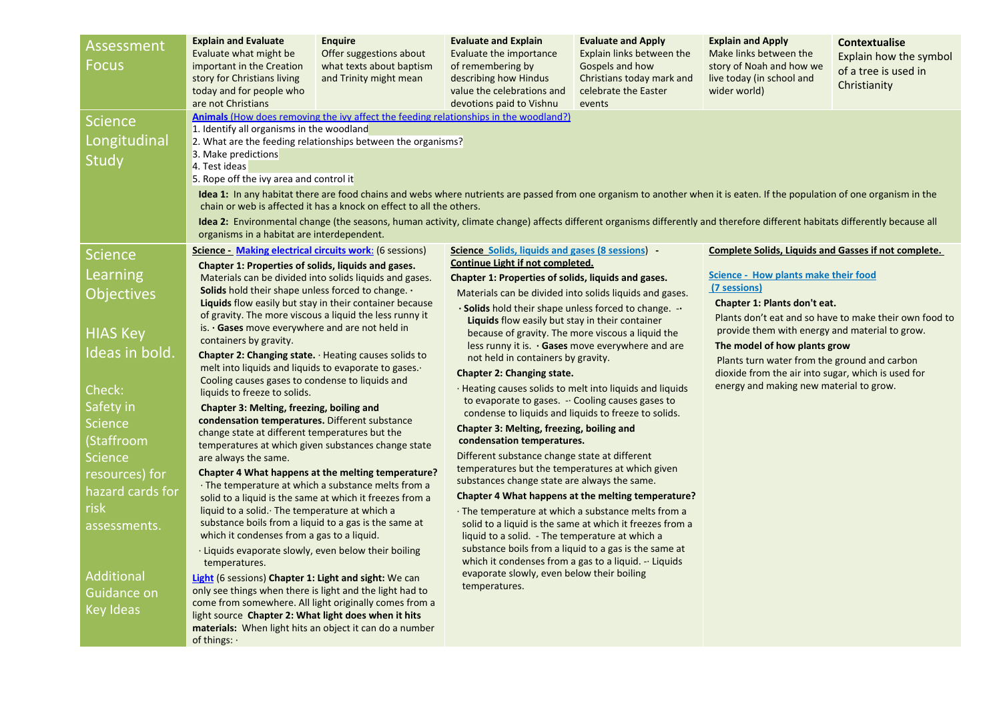| Assessment<br><b>Focus</b>                                                                                                                                        | <b>Explain and Evaluate</b><br>Evaluate what might be<br>important in the Creation<br>story for Christians living<br>today and for people who<br>are not Christians                                                                                                                                                                                                                                                                                                                                                                                                                                                                                                                                                                                                                                                                                                                                                                                                                                                                                                                                                                                                            | <b>Enquire</b><br>Offer suggestions about<br>what texts about baptism<br>and Trinity might mean                                                                       | <b>Evaluate and Explain</b><br>Evaluate the importance<br>of remembering by<br>describing how Hindus<br>value the celebrations and<br>devotions paid to Vishnu                                                                                                                                                                                                                                                                                                                                                                                                                                                                                                                                                                                                                                                                                                                                                                                                                                                                                  | <b>Evaluate and Apply</b><br>Explain links between the<br>Gospels and how<br>Christians today mark and<br>celebrate the Easter<br>events | <b>Explain and Apply</b><br>Make links between the<br>story of Noah and how we<br>live today (in school and<br>wider world)                                                                                                                                                                                                                                                                                                                      | <b>Contextualise</b><br>Explain how the symbol<br>of a tree is used in<br>Christianity |
|-------------------------------------------------------------------------------------------------------------------------------------------------------------------|--------------------------------------------------------------------------------------------------------------------------------------------------------------------------------------------------------------------------------------------------------------------------------------------------------------------------------------------------------------------------------------------------------------------------------------------------------------------------------------------------------------------------------------------------------------------------------------------------------------------------------------------------------------------------------------------------------------------------------------------------------------------------------------------------------------------------------------------------------------------------------------------------------------------------------------------------------------------------------------------------------------------------------------------------------------------------------------------------------------------------------------------------------------------------------|-----------------------------------------------------------------------------------------------------------------------------------------------------------------------|-------------------------------------------------------------------------------------------------------------------------------------------------------------------------------------------------------------------------------------------------------------------------------------------------------------------------------------------------------------------------------------------------------------------------------------------------------------------------------------------------------------------------------------------------------------------------------------------------------------------------------------------------------------------------------------------------------------------------------------------------------------------------------------------------------------------------------------------------------------------------------------------------------------------------------------------------------------------------------------------------------------------------------------------------|------------------------------------------------------------------------------------------------------------------------------------------|--------------------------------------------------------------------------------------------------------------------------------------------------------------------------------------------------------------------------------------------------------------------------------------------------------------------------------------------------------------------------------------------------------------------------------------------------|----------------------------------------------------------------------------------------|
| <b>Science</b><br>Longitudinal<br>Study<br><b>Science</b><br>Learning<br>Objectives<br><b>HIAS Key</b><br>Ideas in bold.<br>Check:<br>Safety in<br><b>Science</b> | Animals (How does removing the ivy affect the feeding relationships in the woodland?)<br>1. Identify all organisms in the woodland<br>2. What are the feeding relationships between the organisms?<br>3. Make predictions<br>4. Test ideas<br>5. Rope off the ivy area and control it<br>chain or web is affected it has a knock on effect to all the others.<br>organisms in a habitat are interdependent.<br><b>Science - Making electrical circuits work:</b> (6 sessions)<br>Chapter 1: Properties of solids, liquids and gases.<br>Materials can be divided into solids liquids and gases.<br><b>Solids</b> hold their shape unless forced to change. $\cdot$<br>Liquids flow easily but stay in their container because<br>of gravity. The more viscous a liquid the less runny it<br>is. $\cdot$ Gases move everywhere and are not held in<br>containers by gravity.<br>Chapter 2: Changing state. · Heating causes solids to<br>melt into liquids and liquids to evaporate to gases.<br>Cooling causes gases to condense to liquids and<br>liquids to freeze to solids.<br>Chapter 3: Melting, freezing, boiling and<br>condensation temperatures. Different substance |                                                                                                                                                                       | Idea 1: In any habitat there are food chains and webs where nutrients are passed from one organism to another when it is eaten. If the population of one organism in the<br>Idea 2: Environmental change (the seasons, human activity, climate change) affects different organisms differently and therefore different habitats differently because all<br>Science Solids, liquids and gases (8 sessions) -<br>Continue Light if not completed.<br>Chapter 1: Properties of solids, liquids and gases.<br>Materials can be divided into solids liquids and gases.<br>. Solids hold their shape unless forced to change. -<br>Liquids flow easily but stay in their container<br>because of gravity. The more viscous a liquid the<br>less runny it is. $\cdot$ Gases move everywhere and are<br>not held in containers by gravity.<br><b>Chapter 2: Changing state.</b><br>· Heating causes solids to melt into liquids and liquids<br>to evaporate to gases. - Cooling causes gases to<br>condense to liquids and liquids to freeze to solids. |                                                                                                                                          | <b>Complete Solids, Liquids and Gasses if not complete.</b><br>Science - How plants make their food<br>(7 sessions)<br>Chapter 1: Plants don't eat.<br>Plants don't eat and so have to make their own food to<br>provide them with energy and material to grow.<br>The model of how plants grow<br>Plants turn water from the ground and carbon<br>dioxide from the air into sugar, which is used for<br>energy and making new material to grow. |                                                                                        |
| (Staffroom<br><b>Science</b><br>resources) for<br>hazard cards for<br>risk<br>assessments.<br>Additional<br>Guidance on<br><b>Key Ideas</b>                       | change state at different temperatures but the<br>temperatures at which given substances change state<br>are always the same.<br>liquid to a solid. The temperature at which a<br>substance boils from a liquid to a gas is the same at<br>which it condenses from a gas to a liquid.<br>· Liquids evaporate slowly, even below their boiling<br>temperatures.<br>Light (6 sessions) Chapter 1: Light and sight: We can<br>only see things when there is light and the light had to<br>come from somewhere. All light originally comes from a<br>light source Chapter 2: What light does when it hits<br>materials: When light hits an object it can do a number<br>of things: $\cdot$                                                                                                                                                                                                                                                                                                                                                                                                                                                                                         | Chapter 4 What happens at the melting temperature?<br>· The temperature at which a substance melts from a<br>solid to a liquid is the same at which it freezes from a | condensation temperatures.<br>Different substance change state at different<br>temperatures but the temperatures at which given<br>substances change state are always the same.<br>$\cdot$ The temperature at which a substance melts from a<br>liquid to a solid. - The temperature at which a<br>substance boils from a liquid to a gas is the same at<br>which it condenses from a gas to a liquid. $\cdot \cdot$ Liquids<br>evaporate slowly, even below their boiling<br>temperatures.                                                                                                                                                                                                                                                                                                                                                                                                                                                                                                                                                     | Chapter 4 What happens at the melting temperature?<br>solid to a liquid is the same at which it freezes from a                           |                                                                                                                                                                                                                                                                                                                                                                                                                                                  |                                                                                        |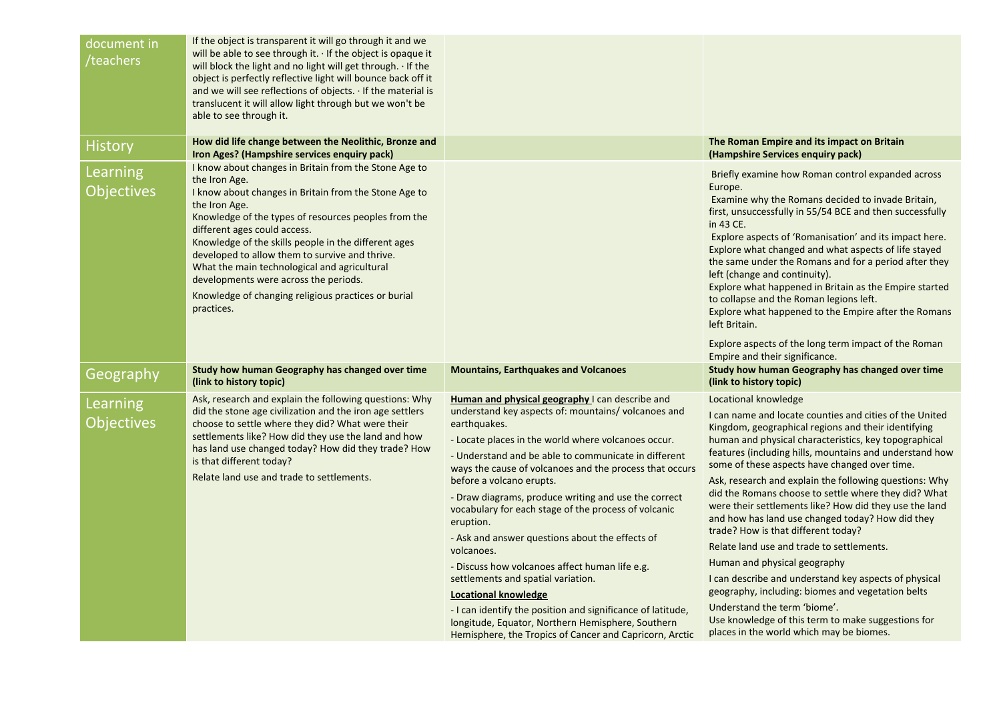| document in<br>/teachers      | If the object is transparent it will go through it and we<br>will be able to see through it. $\cdot$ If the object is opaque it<br>will block the light and no light will get through. If the<br>object is perfectly reflective light will bounce back off it<br>and we will see reflections of objects. If the material is<br>translucent it will allow light through but we won't be<br>able to see through it.                                                                                                |                                                                                                                                                                                                                                                                                                                                                                                                                                                                                                                                                                                                                                                                                                                                                                      |                                                                                                                                                                                                                                                                                                                                                                                                                                                                                                                                                                                                                                                                                                                                                                                                                                                                     |
|-------------------------------|------------------------------------------------------------------------------------------------------------------------------------------------------------------------------------------------------------------------------------------------------------------------------------------------------------------------------------------------------------------------------------------------------------------------------------------------------------------------------------------------------------------|----------------------------------------------------------------------------------------------------------------------------------------------------------------------------------------------------------------------------------------------------------------------------------------------------------------------------------------------------------------------------------------------------------------------------------------------------------------------------------------------------------------------------------------------------------------------------------------------------------------------------------------------------------------------------------------------------------------------------------------------------------------------|---------------------------------------------------------------------------------------------------------------------------------------------------------------------------------------------------------------------------------------------------------------------------------------------------------------------------------------------------------------------------------------------------------------------------------------------------------------------------------------------------------------------------------------------------------------------------------------------------------------------------------------------------------------------------------------------------------------------------------------------------------------------------------------------------------------------------------------------------------------------|
| <b>History</b>                | How did life change between the Neolithic, Bronze and<br>Iron Ages? (Hampshire services enquiry pack)                                                                                                                                                                                                                                                                                                                                                                                                            |                                                                                                                                                                                                                                                                                                                                                                                                                                                                                                                                                                                                                                                                                                                                                                      | The Roman Empire and its impact on Britain<br>(Hampshire Services enquiry pack)                                                                                                                                                                                                                                                                                                                                                                                                                                                                                                                                                                                                                                                                                                                                                                                     |
| Learning<br><b>Objectives</b> | I know about changes in Britain from the Stone Age to<br>the Iron Age.<br>I know about changes in Britain from the Stone Age to<br>the Iron Age.<br>Knowledge of the types of resources peoples from the<br>different ages could access.<br>Knowledge of the skills people in the different ages<br>developed to allow them to survive and thrive.<br>What the main technological and agricultural<br>developments were across the periods.<br>Knowledge of changing religious practices or burial<br>practices. |                                                                                                                                                                                                                                                                                                                                                                                                                                                                                                                                                                                                                                                                                                                                                                      | Briefly examine how Roman control expanded across<br>Europe.<br>Examine why the Romans decided to invade Britain,<br>first, unsuccessfully in 55/54 BCE and then successfully<br>in 43 CE.<br>Explore aspects of 'Romanisation' and its impact here.<br>Explore what changed and what aspects of life stayed<br>the same under the Romans and for a period after they<br>left (change and continuity).<br>Explore what happened in Britain as the Empire started<br>to collapse and the Roman legions left.<br>Explore what happened to the Empire after the Romans<br>left Britain.<br>Explore aspects of the long term impact of the Roman                                                                                                                                                                                                                        |
| Geography                     | Study how human Geography has changed over time                                                                                                                                                                                                                                                                                                                                                                                                                                                                  | <b>Mountains, Earthquakes and Volcanoes</b>                                                                                                                                                                                                                                                                                                                                                                                                                                                                                                                                                                                                                                                                                                                          | Empire and their significance.<br>Study how human Geography has changed over time                                                                                                                                                                                                                                                                                                                                                                                                                                                                                                                                                                                                                                                                                                                                                                                   |
|                               | (link to history topic)                                                                                                                                                                                                                                                                                                                                                                                                                                                                                          |                                                                                                                                                                                                                                                                                                                                                                                                                                                                                                                                                                                                                                                                                                                                                                      | (link to history topic)                                                                                                                                                                                                                                                                                                                                                                                                                                                                                                                                                                                                                                                                                                                                                                                                                                             |
| Learning<br><b>Objectives</b> | Ask, research and explain the following questions: Why<br>did the stone age civilization and the iron age settlers<br>choose to settle where they did? What were their<br>settlements like? How did they use the land and how<br>has land use changed today? How did they trade? How<br>is that different today?<br>Relate land use and trade to settlements.                                                                                                                                                    | Human and physical geography I can describe and<br>understand key aspects of: mountains/volcanoes and<br>earthquakes.<br>- Locate places in the world where volcanoes occur.<br>- Understand and be able to communicate in different<br>ways the cause of volcanoes and the process that occurs<br>before a volcano erupts.<br>- Draw diagrams, produce writing and use the correct<br>vocabulary for each stage of the process of volcanic<br>eruption.<br>- Ask and answer questions about the effects of<br>volcanoes.<br>- Discuss how volcanoes affect human life e.g.<br>settlements and spatial variation.<br><b>Locational knowledge</b><br>- I can identify the position and significance of latitude,<br>longitude, Equator, Northern Hemisphere, Southern | Locational knowledge<br>I can name and locate counties and cities of the United<br>Kingdom, geographical regions and their identifying<br>human and physical characteristics, key topographical<br>features (including hills, mountains and understand how<br>some of these aspects have changed over time.<br>Ask, research and explain the following questions: Why<br>did the Romans choose to settle where they did? What<br>were their settlements like? How did they use the land<br>and how has land use changed today? How did they<br>trade? How is that different today?<br>Relate land use and trade to settlements.<br>Human and physical geography<br>I can describe and understand key aspects of physical<br>geography, including: biomes and vegetation belts<br>Understand the term 'biome'.<br>Use knowledge of this term to make suggestions for |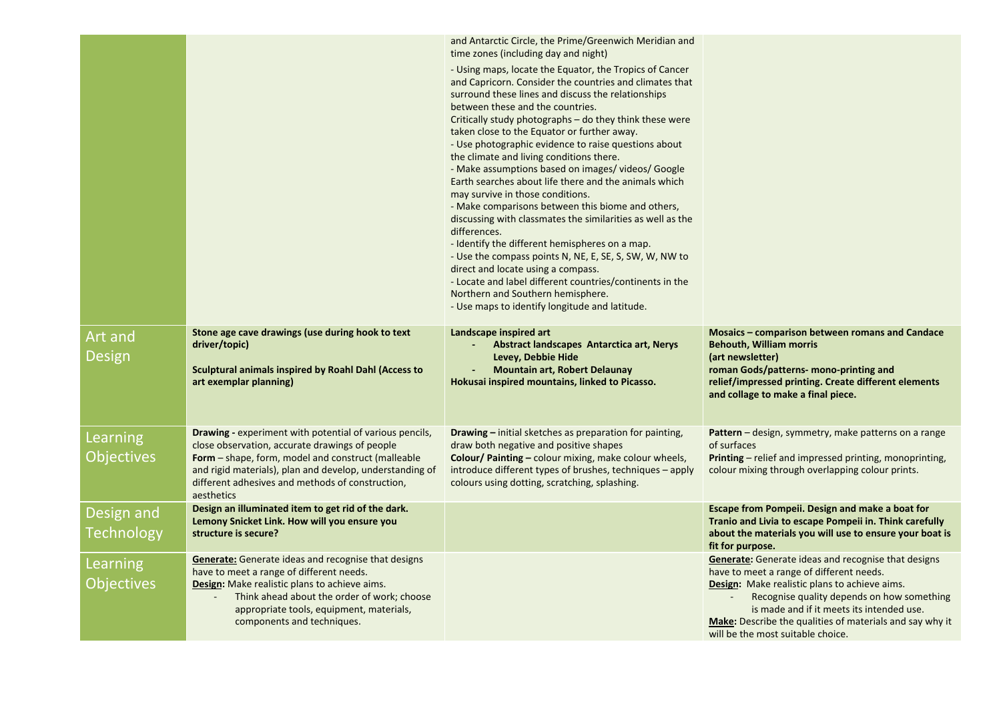|                               |                                                                                                                                                                                                                                                                                                                     | and Antarctic Circle, the Prime/Greenwich Meridian and<br>time zones (including day and night)                                                                                                                                                                                                                                                                                                                                                                                                                                                                                                                                                                                                                                                                                                                                                                                                                                                                                                                        |                                                                                                                                                                                                                                                                                                                       |
|-------------------------------|---------------------------------------------------------------------------------------------------------------------------------------------------------------------------------------------------------------------------------------------------------------------------------------------------------------------|-----------------------------------------------------------------------------------------------------------------------------------------------------------------------------------------------------------------------------------------------------------------------------------------------------------------------------------------------------------------------------------------------------------------------------------------------------------------------------------------------------------------------------------------------------------------------------------------------------------------------------------------------------------------------------------------------------------------------------------------------------------------------------------------------------------------------------------------------------------------------------------------------------------------------------------------------------------------------------------------------------------------------|-----------------------------------------------------------------------------------------------------------------------------------------------------------------------------------------------------------------------------------------------------------------------------------------------------------------------|
|                               |                                                                                                                                                                                                                                                                                                                     | - Using maps, locate the Equator, the Tropics of Cancer<br>and Capricorn. Consider the countries and climates that<br>surround these lines and discuss the relationships<br>between these and the countries.<br>Critically study photographs – do they think these were<br>taken close to the Equator or further away.<br>- Use photographic evidence to raise questions about<br>the climate and living conditions there.<br>- Make assumptions based on images/ videos/ Google<br>Earth searches about life there and the animals which<br>may survive in those conditions.<br>- Make comparisons between this biome and others,<br>discussing with classmates the similarities as well as the<br>differences.<br>- Identify the different hemispheres on a map.<br>- Use the compass points N, NE, E, SE, S, SW, W, NW to<br>direct and locate using a compass.<br>- Locate and label different countries/continents in the<br>Northern and Southern hemisphere.<br>- Use maps to identify longitude and latitude. |                                                                                                                                                                                                                                                                                                                       |
| <b>Art and</b>                | Stone age cave drawings (use during hook to text                                                                                                                                                                                                                                                                    | Landscape inspired art                                                                                                                                                                                                                                                                                                                                                                                                                                                                                                                                                                                                                                                                                                                                                                                                                                                                                                                                                                                                | <b>Mosaics - comparison between romans and Candace</b>                                                                                                                                                                                                                                                                |
| Design                        | driver/topic)<br>Sculptural animals inspired by Roahl Dahl (Access to<br>art exemplar planning)                                                                                                                                                                                                                     | Abstract landscapes Antarctica art, Nerys<br>Levey, Debbie Hide<br><b>Mountain art, Robert Delaunay</b><br>Hokusai inspired mountains, linked to Picasso.                                                                                                                                                                                                                                                                                                                                                                                                                                                                                                                                                                                                                                                                                                                                                                                                                                                             | <b>Behouth, William morris</b><br>(art newsletter)<br>roman Gods/patterns- mono-printing and<br>relief/impressed printing. Create different elements<br>and collage to make a final piece.                                                                                                                            |
| Learning                      | <b>Drawing - experiment with potential of various pencils,</b>                                                                                                                                                                                                                                                      | <b>Drawing</b> – initial sketches as preparation for painting,                                                                                                                                                                                                                                                                                                                                                                                                                                                                                                                                                                                                                                                                                                                                                                                                                                                                                                                                                        | <b>Pattern</b> – design, symmetry, make patterns on a range                                                                                                                                                                                                                                                           |
| <b>Objectives</b>             | close observation, accurate drawings of people<br><b>Form</b> – shape, form, model and construct (malleable<br>and rigid materials), plan and develop, understanding of<br>different adhesives and methods of construction,<br>aesthetics                                                                           | draw both negative and positive shapes<br><b>Colour/ Painting - colour mixing, make colour wheels,</b><br>introduce different types of brushes, techniques - apply<br>colours using dotting, scratching, splashing.                                                                                                                                                                                                                                                                                                                                                                                                                                                                                                                                                                                                                                                                                                                                                                                                   | of surfaces<br><b>Printing</b> – relief and impressed printing, monoprinting,<br>colour mixing through overlapping colour prints.                                                                                                                                                                                     |
| Design and                    | Design an illuminated item to get rid of the dark.                                                                                                                                                                                                                                                                  |                                                                                                                                                                                                                                                                                                                                                                                                                                                                                                                                                                                                                                                                                                                                                                                                                                                                                                                                                                                                                       | Escape from Pompeii. Design and make a boat for                                                                                                                                                                                                                                                                       |
| Technology                    | Lemony Snicket Link. How will you ensure you<br>structure is secure?                                                                                                                                                                                                                                                |                                                                                                                                                                                                                                                                                                                                                                                                                                                                                                                                                                                                                                                                                                                                                                                                                                                                                                                                                                                                                       | Tranio and Livia to escape Pompeii in. Think carefully<br>about the materials you will use to ensure your boat is<br>fit for purpose.                                                                                                                                                                                 |
| Learning<br><b>Objectives</b> | <b>Generate:</b> Generate ideas and recognise that designs<br>have to meet a range of different needs.<br><b>Design:</b> Make realistic plans to achieve aims.<br>$\overline{\phantom{a}}$<br>Think ahead about the order of work; choose<br>appropriate tools, equipment, materials,<br>components and techniques. |                                                                                                                                                                                                                                                                                                                                                                                                                                                                                                                                                                                                                                                                                                                                                                                                                                                                                                                                                                                                                       | <b>Generate:</b> Generate ideas and recognise that designs<br>have to meet a range of different needs.<br><b>Design:</b> Make realistic plans to achieve aims.<br>Recognise quality depends on how something<br>is made and if it meets its intended use.<br>Make: Describe the qualities of materials and say why it |
|                               |                                                                                                                                                                                                                                                                                                                     |                                                                                                                                                                                                                                                                                                                                                                                                                                                                                                                                                                                                                                                                                                                                                                                                                                                                                                                                                                                                                       | will be the most suitable choice.                                                                                                                                                                                                                                                                                     |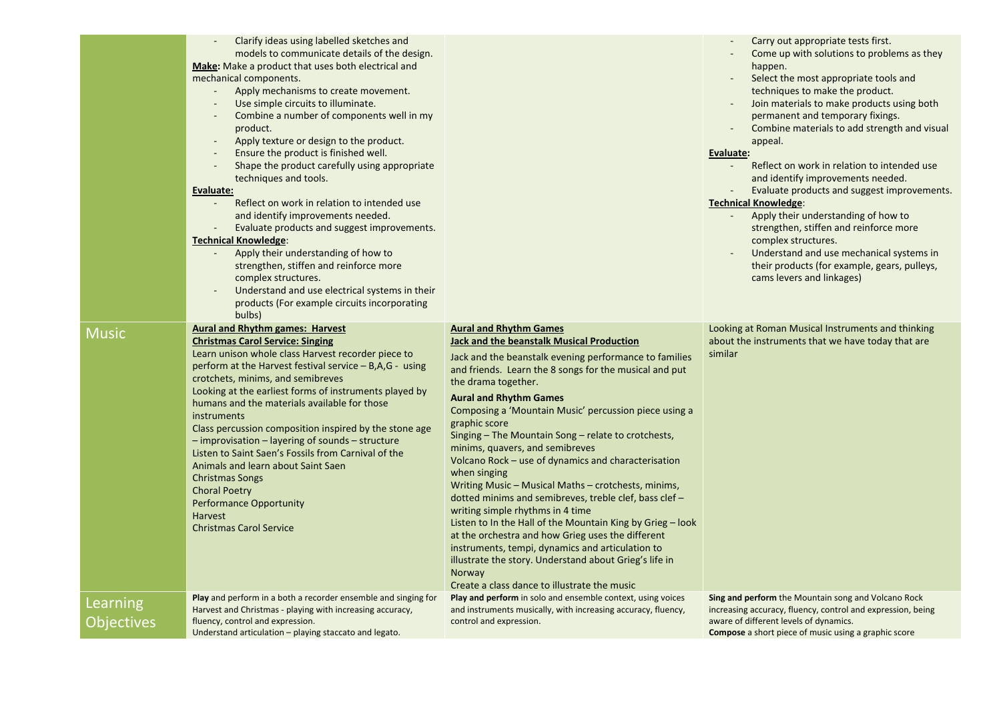|                               | Clarify ideas using labelled sketches and<br>models to communicate details of the design.<br><b>Make:</b> Make a product that uses both electrical and<br>mechanical components.<br>Apply mechanisms to create movement.<br>Use simple circuits to illuminate.<br>Combine a number of components well in my<br>product.<br>Apply texture or design to the product.<br>Ensure the product is finished well.<br>Shape the product carefully using appropriate<br>techniques and tools.<br><b>Evaluate:</b><br>Reflect on work in relation to intended use<br>and identify improvements needed.<br>Evaluate products and suggest improvements.<br><b>Technical Knowledge:</b><br>Apply their understanding of how to<br>strengthen, stiffen and reinforce more<br>complex structures.<br>Understand and use electrical systems in their<br>products (For example circuits incorporating<br>bulbs) |                                                                                                                                                                                                                                                                                                                                                                                                                                                                                                                                                                                                                                                                                                                                                                                                                                                                                                                                                              | Carry out appropriate tests first.<br>Come up with solutions to problems as they<br>happen.<br>Select the most appropriate tools and<br>techniques to make the product.<br>Join materials to make products using both<br>permanent and temporary fixings.<br>Combine materials to add strength and visual<br>appeal.<br>Evaluate:<br>Reflect on work in relation to intended use<br>and identify improvements needed.<br>Evaluate products and suggest improvements.<br><b>Technical Knowledge:</b><br>Apply their understanding of how to<br>strengthen, stiffen and reinforce more<br>complex structures.<br>Understand and use mechanical systems in<br>their products (for example, gears, pulleys,<br>cams levers and linkages) |
|-------------------------------|------------------------------------------------------------------------------------------------------------------------------------------------------------------------------------------------------------------------------------------------------------------------------------------------------------------------------------------------------------------------------------------------------------------------------------------------------------------------------------------------------------------------------------------------------------------------------------------------------------------------------------------------------------------------------------------------------------------------------------------------------------------------------------------------------------------------------------------------------------------------------------------------|--------------------------------------------------------------------------------------------------------------------------------------------------------------------------------------------------------------------------------------------------------------------------------------------------------------------------------------------------------------------------------------------------------------------------------------------------------------------------------------------------------------------------------------------------------------------------------------------------------------------------------------------------------------------------------------------------------------------------------------------------------------------------------------------------------------------------------------------------------------------------------------------------------------------------------------------------------------|--------------------------------------------------------------------------------------------------------------------------------------------------------------------------------------------------------------------------------------------------------------------------------------------------------------------------------------------------------------------------------------------------------------------------------------------------------------------------------------------------------------------------------------------------------------------------------------------------------------------------------------------------------------------------------------------------------------------------------------|
| <b>Music</b>                  | <b>Aural and Rhythm games: Harvest</b><br><b>Christmas Carol Service: Singing</b><br>Learn unison whole class Harvest recorder piece to<br>perform at the Harvest festival service $- B, A, G -$ using<br>crotchets, minims, and semibreves<br>Looking at the earliest forms of instruments played by<br>humans and the materials available for those<br>instruments<br>Class percussion composition inspired by the stone age<br>- improvisation - layering of sounds - structure<br>Listen to Saint Saen's Fossils from Carnival of the<br>Animals and learn about Saint Saen<br><b>Christmas Songs</b><br><b>Choral Poetry</b><br><b>Performance Opportunity</b><br>Harvest<br><b>Christmas Carol Service</b>                                                                                                                                                                               | <b>Aural and Rhythm Games</b><br><b>Jack and the beanstalk Musical Production</b><br>Jack and the beanstalk evening performance to families<br>and friends. Learn the 8 songs for the musical and put<br>the drama together.<br><b>Aural and Rhythm Games</b><br>Composing a 'Mountain Music' percussion piece using a<br>graphic score<br>Singing $-$ The Mountain Song $-$ relate to crotchests,<br>minims, quavers, and semibreves<br>Volcano Rock – use of dynamics and characterisation<br>when singing<br>Writing Music - Musical Maths - crotchests, minims,<br>dotted minims and semibreves, treble clef, bass clef -<br>writing simple rhythms in 4 time<br>Listen to In the Hall of the Mountain King by Grieg – look<br>at the orchestra and how Grieg uses the different<br>instruments, tempi, dynamics and articulation to<br>illustrate the story. Understand about Grieg's life in<br>Norway<br>Create a class dance to illustrate the music | Looking at Roman Musical Instruments and thinking<br>about the instruments that we have today that are<br>similar                                                                                                                                                                                                                                                                                                                                                                                                                                                                                                                                                                                                                    |
| Learning<br><b>Objectives</b> | Play and perform in a both a recorder ensemble and singing for<br>Harvest and Christmas - playing with increasing accuracy,<br>fluency, control and expression.<br>Understand articulation - playing staccato and legato.                                                                                                                                                                                                                                                                                                                                                                                                                                                                                                                                                                                                                                                                      | Play and perform in solo and ensemble context, using voices<br>and instruments musically, with increasing accuracy, fluency,<br>control and expression.                                                                                                                                                                                                                                                                                                                                                                                                                                                                                                                                                                                                                                                                                                                                                                                                      | Sing and perform the Mountain song and Volcano Rock<br>increasing accuracy, fluency, control and expression, being<br>aware of different levels of dynamics.<br><b>Compose</b> a short piece of music using a graphic score                                                                                                                                                                                                                                                                                                                                                                                                                                                                                                          |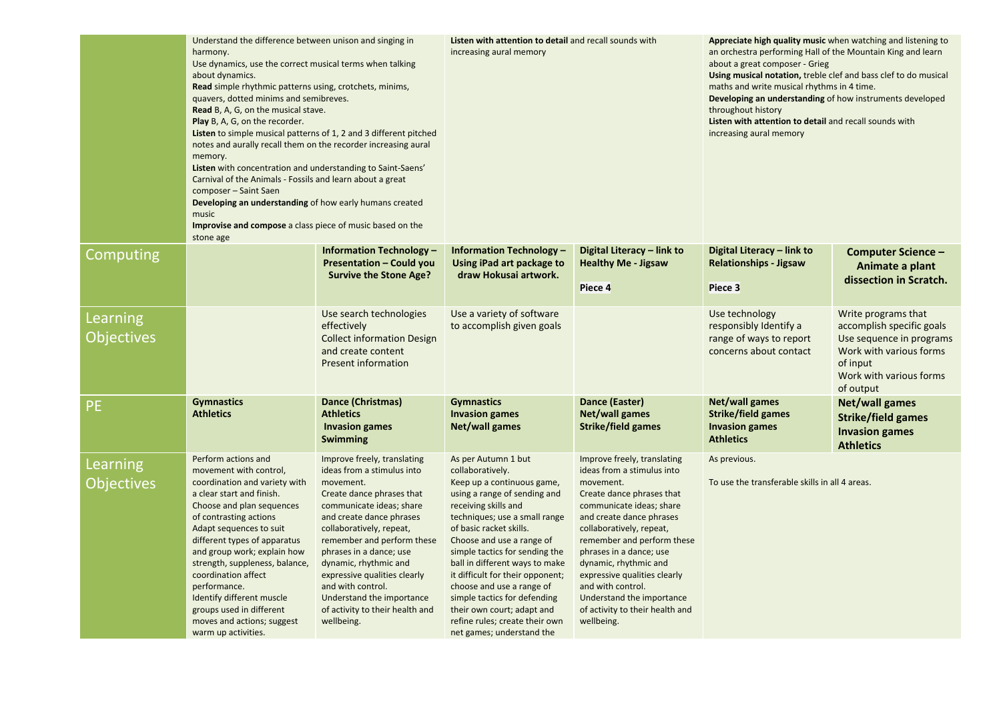|                               | Understand the difference between unison and singing in<br>harmony.<br>Use dynamics, use the correct musical terms when talking<br>about dynamics.<br>Read simple rhythmic patterns using, crotchets, minims,<br>quavers, dotted minims and semibreves.<br><b>Read</b> B, A, G, on the musical stave.<br>Play B, A, G, on the recorder.<br>Listen to simple musical patterns of 1, 2 and 3 different pitched<br>notes and aurally recall them on the recorder increasing aural<br>memory.<br>Listen with concentration and understanding to Saint-Saens'<br>Carnival of the Animals - Fossils and learn about a great<br>composer - Saint Saen<br>Developing an understanding of how early humans created<br>music<br>Improvise and compose a class piece of music based on the<br>stone age |                                                                                                                                                                                                                                                                                                                                                                                                              | Listen with attention to detail and recall sounds with<br>increasing aural memory                                                                                                                                                                                                                                                                                                                                                                                                        |                                                                                                                                                                                                                                                                                                                                                                                                              | Appreciate high quality music when watching and listening to<br>an orchestra performing Hall of the Mountain King and learn<br>about a great composer - Grieg<br>Using musical notation, treble clef and bass clef to do musical<br>maths and write musical rhythms in 4 time.<br>Developing an understanding of how instruments developed<br>throughout history<br>Listen with attention to detail and recall sounds with<br>increasing aural memory |                                                                                                                                                             |
|-------------------------------|----------------------------------------------------------------------------------------------------------------------------------------------------------------------------------------------------------------------------------------------------------------------------------------------------------------------------------------------------------------------------------------------------------------------------------------------------------------------------------------------------------------------------------------------------------------------------------------------------------------------------------------------------------------------------------------------------------------------------------------------------------------------------------------------|--------------------------------------------------------------------------------------------------------------------------------------------------------------------------------------------------------------------------------------------------------------------------------------------------------------------------------------------------------------------------------------------------------------|------------------------------------------------------------------------------------------------------------------------------------------------------------------------------------------------------------------------------------------------------------------------------------------------------------------------------------------------------------------------------------------------------------------------------------------------------------------------------------------|--------------------------------------------------------------------------------------------------------------------------------------------------------------------------------------------------------------------------------------------------------------------------------------------------------------------------------------------------------------------------------------------------------------|-------------------------------------------------------------------------------------------------------------------------------------------------------------------------------------------------------------------------------------------------------------------------------------------------------------------------------------------------------------------------------------------------------------------------------------------------------|-------------------------------------------------------------------------------------------------------------------------------------------------------------|
| Computing                     |                                                                                                                                                                                                                                                                                                                                                                                                                                                                                                                                                                                                                                                                                                                                                                                              | Information Technology -<br>Presentation - Could you<br><b>Survive the Stone Age?</b>                                                                                                                                                                                                                                                                                                                        | <b>Information Technology -</b><br>Using iPad art package to<br>draw Hokusai artwork.                                                                                                                                                                                                                                                                                                                                                                                                    | Digital Literacy - link to<br><b>Healthy Me - Jigsaw</b><br>Piece 4                                                                                                                                                                                                                                                                                                                                          | Digital Literacy - link to<br><b>Relationships - Jigsaw</b><br>Piece 3                                                                                                                                                                                                                                                                                                                                                                                | Computer Science -<br>Animate a plant<br>dissection in Scratch.                                                                                             |
| Learning<br><b>Objectives</b> |                                                                                                                                                                                                                                                                                                                                                                                                                                                                                                                                                                                                                                                                                                                                                                                              | Use search technologies<br>effectively<br><b>Collect information Design</b><br>and create content<br><b>Present information</b>                                                                                                                                                                                                                                                                              | Use a variety of software<br>to accomplish given goals                                                                                                                                                                                                                                                                                                                                                                                                                                   |                                                                                                                                                                                                                                                                                                                                                                                                              | Use technology<br>responsibly Identify a<br>range of ways to report<br>concerns about contact                                                                                                                                                                                                                                                                                                                                                         | Write programs that<br>accomplish specific goals<br>Use sequence in programs<br>Work with various forms<br>of input<br>Work with various forms<br>of output |
| <b>PE</b>                     | <b>Gymnastics</b><br><b>Athletics</b>                                                                                                                                                                                                                                                                                                                                                                                                                                                                                                                                                                                                                                                                                                                                                        | Dance (Christmas)<br><b>Athletics</b><br><b>Invasion games</b><br><b>Swimming</b>                                                                                                                                                                                                                                                                                                                            | <b>Gymnastics</b><br><b>Invasion games</b><br>Net/wall games                                                                                                                                                                                                                                                                                                                                                                                                                             | Dance (Easter)<br><b>Net/wall games</b><br>Strike/field games                                                                                                                                                                                                                                                                                                                                                | Net/wall games<br><b>Strike/field games</b><br><b>Invasion games</b><br><b>Athletics</b>                                                                                                                                                                                                                                                                                                                                                              | <b>Net/wall games</b><br><b>Strike/field games</b><br><b>Invasion games</b><br><b>Athletics</b>                                                             |
| Learning<br><b>Objectives</b> | Perform actions and<br>movement with control,<br>coordination and variety with<br>a clear start and finish.<br>Choose and plan sequences<br>of contrasting actions<br>Adapt sequences to suit<br>different types of apparatus<br>and group work; explain how<br>strength, suppleness, balance,<br>coordination affect<br>performance.<br>Identify different muscle<br>groups used in different<br>moves and actions; suggest<br>warm up activities.                                                                                                                                                                                                                                                                                                                                          | Improve freely, translating<br>ideas from a stimulus into<br>movement.<br>Create dance phrases that<br>communicate ideas; share<br>and create dance phrases<br>collaboratively, repeat,<br>remember and perform these<br>phrases in a dance; use<br>dynamic, rhythmic and<br>expressive qualities clearly<br>and with control.<br>Understand the importance<br>of activity to their health and<br>wellbeing. | As per Autumn 1 but<br>collaboratively.<br>Keep up a continuous game,<br>using a range of sending and<br>receiving skills and<br>techniques; use a small range<br>of basic racket skills.<br>Choose and use a range of<br>simple tactics for sending the<br>ball in different ways to make<br>it difficult for their opponent;<br>choose and use a range of<br>simple tactics for defending<br>their own court; adapt and<br>refine rules; create their own<br>net games; understand the | Improve freely, translating<br>ideas from a stimulus into<br>movement.<br>Create dance phrases that<br>communicate ideas; share<br>and create dance phrases<br>collaboratively, repeat,<br>remember and perform these<br>phrases in a dance; use<br>dynamic, rhythmic and<br>expressive qualities clearly<br>and with control.<br>Understand the importance<br>of activity to their health and<br>wellbeing. | As previous.<br>To use the transferable skills in all 4 areas.                                                                                                                                                                                                                                                                                                                                                                                        |                                                                                                                                                             |